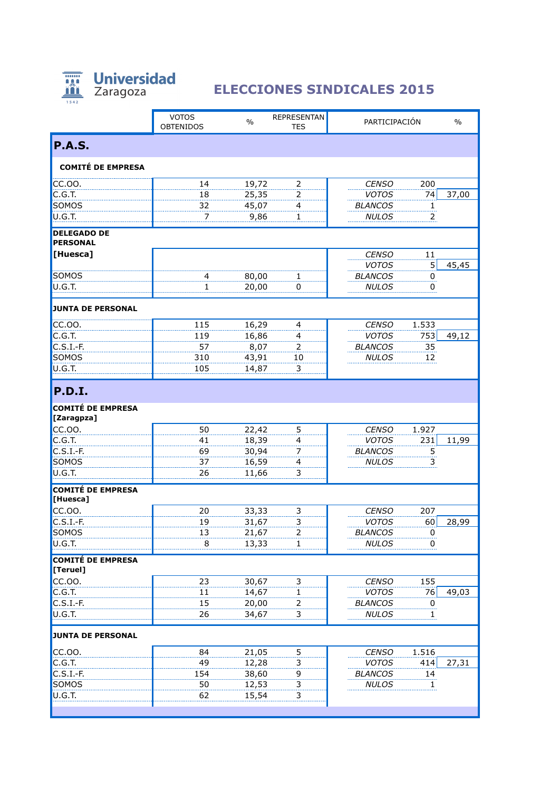

## **Universidad ELECCIONES SINDICALES 2015**

|                                       | <b>VOTOS</b><br><b>OBTENIDOS</b> | $\%$           | <b>REPRESENTAN</b><br><b>TES</b> | PARTICIPACIÓN                |                | $\%$  |
|---------------------------------------|----------------------------------|----------------|----------------------------------|------------------------------|----------------|-------|
| <b>P.A.S.</b>                         |                                  |                |                                  |                              |                |       |
| <b>COMITÉ DE EMPRESA</b>              |                                  |                |                                  |                              |                |       |
| CC.00.                                | 14                               | 19,72          | 2                                | <b>CENSO</b>                 | 200            |       |
| C.G.T.                                | 18                               | 25,35          | 2                                | <b>VOTOS</b>                 | 74             | 37,00 |
| SOMOS                                 | 32                               | 45,07          | 4                                | <b>BLANCOS</b>               | $\mathbf{1}$   |       |
| U.G.T.                                | 7                                | 9,86           | 1                                | <b>NULOS</b>                 | 2              |       |
| <b>DELEGADO DE</b><br><b>PERSONAL</b> |                                  |                |                                  |                              |                |       |
| [Huesca]                              |                                  |                |                                  | <b>CENSO</b>                 | 11             |       |
|                                       |                                  |                |                                  | <b>VOTOS</b>                 | 5              | 45,45 |
| SOMOS                                 | $\overline{a}$                   | 80,00          | $\mathbf{1}$                     | <b>BLANCOS</b>               | 0              |       |
| U.G.T.                                | $\mathbf{1}$                     | 20,00          | 0                                | <b>NULOS</b>                 | 0              |       |
| <b>JUNTA DE PERSONAL</b>              |                                  |                |                                  |                              |                |       |
| CC.00.                                | 115                              | 16,29          | 4                                | <b>CENSO</b>                 | 1.533          |       |
| C.G.T.                                | 119                              | 16,86          | 4                                | <b>VOTOS</b>                 | 753            | 49,12 |
| $C.S.I.-F.$                           | 57                               | 8,07           | 2                                | <b>BLANCOS</b>               | 35             |       |
| SOMOS                                 | 310                              | 43,91          | 10                               | <b>NULOS</b>                 | 12             |       |
| U.G.T.                                | 105                              | 14,87          | 3                                |                              |                |       |
| <b>P.D.I.</b>                         |                                  |                |                                  |                              |                |       |
| <b>COMITÉ DE EMPRESA</b>              |                                  |                |                                  |                              |                |       |
| [Zaragpza]                            |                                  |                |                                  |                              |                |       |
| CC.00.                                | 50                               | 22,42          | 5                                | <b>CENSO</b>                 | 1.927          |       |
| C.G.T.                                | 41                               | 18,39          | 4                                | <b>VOTOS</b>                 | 231            | 11,99 |
| $C.S.I.-F.$                           | 69                               | 30,94          | 7                                | <b>BLANCOS</b>               | 5              |       |
| SOMOS<br>U.G.T.                       | 37<br>26                         | 16,59<br>11,66 | 4<br>3                           | <b>NULOS</b>                 | 3              |       |
| <b>COMITÉ DE EMPRESA</b>              |                                  |                |                                  |                              |                |       |
| [Huesca]                              |                                  |                |                                  |                              |                |       |
| CC.00.                                | 20                               | 33,33          | 3                                | <b>CENSO</b>                 | 207            |       |
| $C.S.I.-F.$                           | 19                               | 31,67          | 3                                | <b>VOTOS</b>                 | 60             | 28,99 |
| SOMOS                                 | 13                               | 21,67          | $\overline{2}$                   | <b>BLANCOS</b>               | $\overline{0}$ |       |
| U.G.T.                                | 8                                | 13,33          | 1                                | <b>NULOS</b>                 | 0              |       |
| <b>COMITÉ DE EMPRESA</b>              |                                  |                |                                  |                              |                |       |
| [Teruel]<br>CC.00.                    |                                  |                |                                  |                              | 155            |       |
| C.G.T.                                | 23<br>$11\,$                     | 30,67<br>14,67 | $\overline{\mathbf{3}}$<br>1     | <b>CENSO</b><br><b>VOTOS</b> | 76             | 49,03 |
| $C.S.I.-F.$                           | 15                               | 20,00          | $\overline{2}$                   | <b>BLANCOS</b>               | 0              |       |
| U.G.T.                                | 26                               | 34,67          | $\overline{3}$                   | <b>NULOS</b>                 | $\mathbf{1}$   |       |
|                                       |                                  |                |                                  |                              |                |       |
| <b>JUNTA DE PERSONAL</b>              |                                  |                |                                  |                              |                |       |
| CC.00.                                | 84                               | 21,05          | 5                                | <b>CENSO</b>                 | 1.516          |       |
| C.G.T.                                | 49                               | 12,28          | 3                                | <b>VOTOS</b>                 | 414            | 27,31 |
| $C.S.I.-F.$                           | 154                              | 38,60          | 9                                | <b>BLANCOS</b>               | 14             |       |
| SOMOS<br>U.G.T.                       | 50<br>62                         | 12,53<br>15,54 | 3<br>3                           | <b>NULOS</b>                 | 1              |       |
|                                       |                                  |                |                                  |                              |                |       |
|                                       |                                  |                |                                  |                              |                |       |